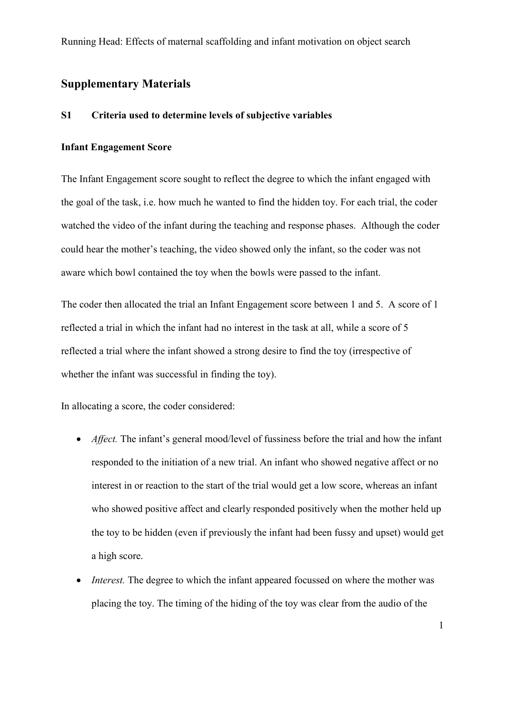# **Supplementary Materials**

#### **S1 Criteria used to determine levels of subjective variables**

#### **Infant Engagement Score**

The Infant Engagement score sought to reflect the degree to which the infant engaged with the goal of the task, i.e. how much he wanted to find the hidden toy. For each trial, the coder watched the video of the infant during the teaching and response phases. Although the coder could hear the mother's teaching, the video showed only the infant, so the coder was not aware which bowl contained the toy when the bowls were passed to the infant.

The coder then allocated the trial an Infant Engagement score between 1 and 5. A score of 1 reflected a trial in which the infant had no interest in the task at all, while a score of 5 reflected a trial where the infant showed a strong desire to find the toy (irrespective of whether the infant was successful in finding the toy).

In allocating a score, the coder considered:

- *Affect*. The infant's general mood/level of fussiness before the trial and how the infant responded to the initiation of a new trial. An infant who showed negative affect or no interest in or reaction to the start of the trial would get a low score, whereas an infant who showed positive affect and clearly responded positively when the mother held up the toy to be hidden (even if previously the infant had been fussy and upset) would get a high score.
- *Interest*. The degree to which the infant appeared focussed on where the mother was placing the toy. The timing of the hiding of the toy was clear from the audio of the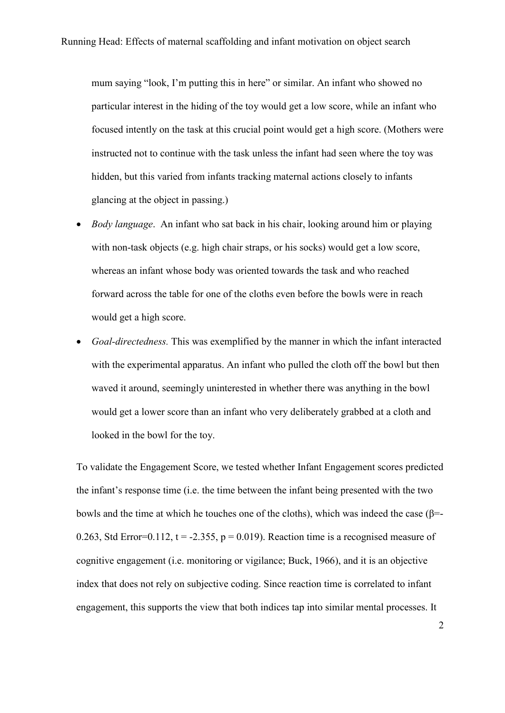mum saying "look, I'm putting this in here" or similar. An infant who showed no particular interest in the hiding of the toy would get a low score, while an infant who focused intently on the task at this crucial point would get a high score. (Mothers were instructed not to continue with the task unless the infant had seen where the toy was hidden, but this varied from infants tracking maternal actions closely to infants glancing at the object in passing.)

- *Body language*. An infant who sat back in his chair, looking around him or playing with non-task objects (e.g. high chair straps, or his socks) would get a low score, whereas an infant whose body was oriented towards the task and who reached forward across the table for one of the cloths even before the bowls were in reach would get a high score.
- *Goal-directedness.* This was exemplified by the manner in which the infant interacted with the experimental apparatus. An infant who pulled the cloth off the bowl but then waved it around, seemingly uninterested in whether there was anything in the bowl would get a lower score than an infant who very deliberately grabbed at a cloth and looked in the bowl for the toy.

To validate the Engagement Score, we tested whether Infant Engagement scores predicted the infant's response time (i.e. the time between the infant being presented with the two bowls and the time at which he touches one of the cloths), which was indeed the case ( $\beta$ =-0.263, Std Error=0.112,  $t = -2.355$ ,  $p = 0.019$ ). Reaction time is a recognised measure of cognitive engagement (i.e. monitoring or vigilance; Buck, 1966), and it is an objective index that does not rely on subjective coding. Since reaction time is correlated to infant engagement, this supports the view that both indices tap into similar mental processes. It

2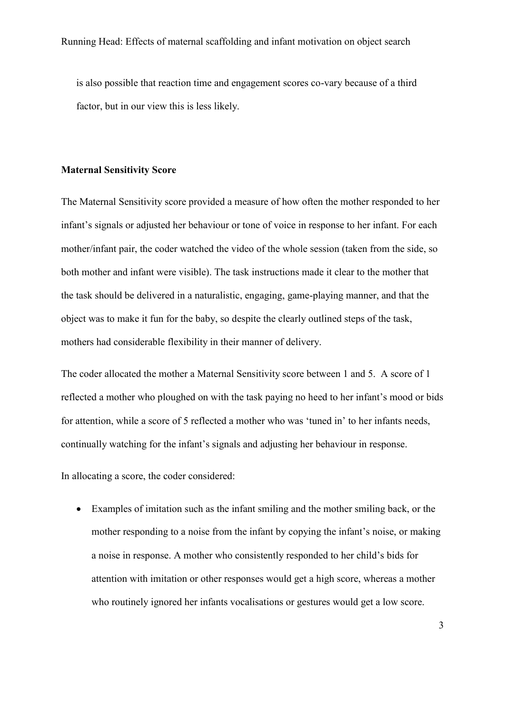is also possible that reaction time and engagement scores co-vary because of a third factor, but in our view this is less likely.

#### **Maternal Sensitivity Score**

The Maternal Sensitivity score provided a measure of how often the mother responded to her infant's signals or adjusted her behaviour or tone of voice in response to her infant. For each mother/infant pair, the coder watched the video of the whole session (taken from the side, so both mother and infant were visible). The task instructions made it clear to the mother that the task should be delivered in a naturalistic, engaging, game-playing manner, and that the object was to make it fun for the baby, so despite the clearly outlined steps of the task, mothers had considerable flexibility in their manner of delivery.

The coder allocated the mother a Maternal Sensitivity score between 1 and 5. A score of 1 reflected a mother who ploughed on with the task paying no heed to her infant's mood or bids for attention, while a score of 5 reflected a mother who was 'tuned in' to her infants needs, continually watching for the infant's signals and adjusting her behaviour in response.

In allocating a score, the coder considered:

• Examples of imitation such as the infant smiling and the mother smiling back, or the mother responding to a noise from the infant by copying the infant's noise, or making a noise in response. A mother who consistently responded to her child's bids for attention with imitation or other responses would get a high score, whereas a mother who routinely ignored her infants vocalisations or gestures would get a low score.

3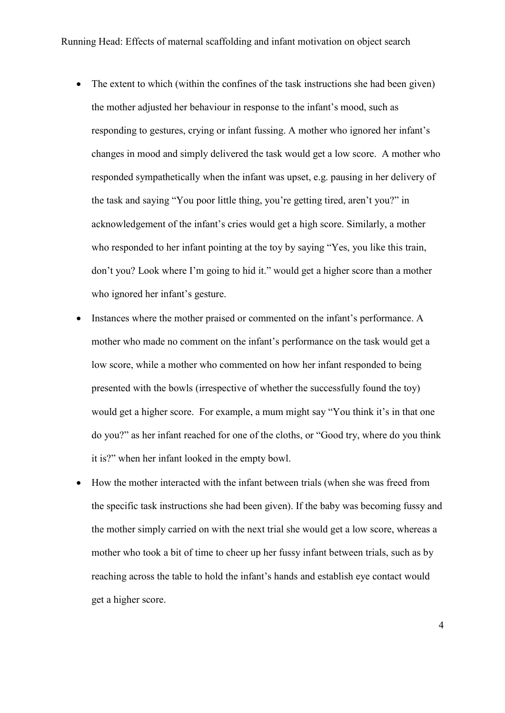- The extent to which (within the confines of the task instructions she had been given) the mother adjusted her behaviour in response to the infant's mood, such as responding to gestures, crying or infant fussing. A mother who ignored her infant's changes in mood and simply delivered the task would get a low score. A mother who responded sympathetically when the infant was upset, e.g. pausing in her delivery of the task and saying "You poor little thing, you're getting tired, aren't you?" in acknowledgement of the infant's cries would get a high score. Similarly, a mother who responded to her infant pointing at the toy by saying "Yes, you like this train, don't you? Look where I'm going to hid it." would get a higher score than a mother who ignored her infant's gesture.
- Instances where the mother praised or commented on the infant's performance. A mother who made no comment on the infant's performance on the task would get a low score, while a mother who commented on how her infant responded to being presented with the bowls (irrespective of whether the successfully found the toy) would get a higher score. For example, a mum might say "You think it's in that one do you?" as her infant reached for one of the cloths, or "Good try, where do you think it is?" when her infant looked in the empty bowl.
- How the mother interacted with the infant between trials (when she was freed from the specific task instructions she had been given). If the baby was becoming fussy and the mother simply carried on with the next trial she would get a low score, whereas a mother who took a bit of time to cheer up her fussy infant between trials, such as by reaching across the table to hold the infant's hands and establish eye contact would get a higher score.

4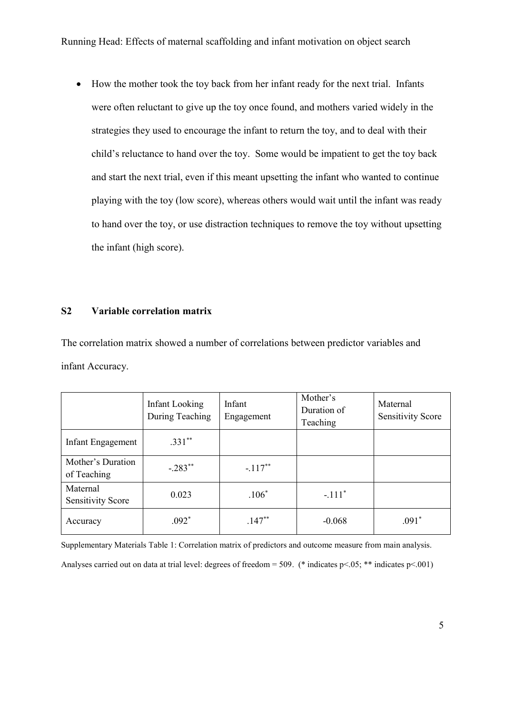Running Head: Effects of maternal scaffolding and infant motivation on object search

• How the mother took the toy back from her infant ready for the next trial. Infants were often reluctant to give up the toy once found, and mothers varied widely in the strategies they used to encourage the infant to return the toy, and to deal with their child's reluctance to hand over the toy. Some would be impatient to get the toy back and start the next trial, even if this meant upsetting the infant who wanted to continue playing with the toy (low score), whereas others would wait until the infant was ready to hand over the toy, or use distraction techniques to remove the toy without upsetting the infant (high score).

### **S2 Variable correlation matrix**

The correlation matrix showed a number of correlations between predictor variables and infant Accuracy.

|                                      | Infant Looking<br>During Teaching | Infant<br>Engagement | Mother's<br>Duration of<br>Teaching | Maternal<br><b>Sensitivity Score</b> |
|--------------------------------------|-----------------------------------|----------------------|-------------------------------------|--------------------------------------|
| Infant Engagement                    | $.331**$                          |                      |                                     |                                      |
| Mother's Duration<br>of Teaching     | $-.283**$                         | $-.117**$            |                                     |                                      |
| Maternal<br><b>Sensitivity Score</b> | 0.023                             | $.106*$              | $-.111*$                            |                                      |
| Accuracy                             | $.092*$                           | $.147**$             | $-0.068$                            | $.091*$                              |

Supplementary Materials Table 1: Correlation matrix of predictors and outcome measure from main analysis. Analyses carried out on data at trial level: degrees of freedom = 509. (\* indicates p<.05; \*\* indicates p<.001)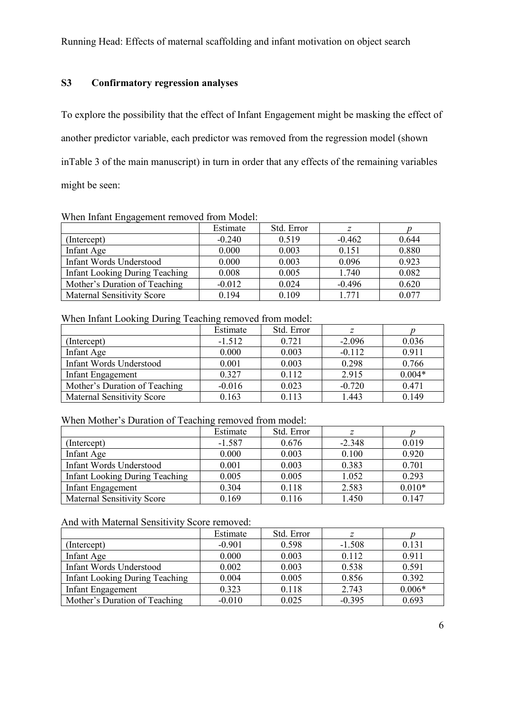Running Head: Effects of maternal scaffolding and infant motivation on object search

## **S3 Confirmatory regression analyses**

To explore the possibility that the effect of Infant Engagement might be masking the effect of another predictor variable, each predictor was removed from the regression model (shown inTable 3 of the main manuscript) in turn in order that any effects of the remaining variables might be seen:

| when miant Engagement removed from moden |          |            |          |       |
|------------------------------------------|----------|------------|----------|-------|
|                                          | Estimate | Std. Error |          |       |
| (Intercept)                              | $-0.240$ | 0.519      | $-0.462$ | 0.644 |
| Infant Age                               | 0.000    | 0.003      | 0.151    | 0.880 |
| Infant Words Understood                  | 0.000    | 0.003      | 0.096    | 0.923 |
| <b>Infant Looking During Teaching</b>    | 0.008    | 0.005      | 1.740    | 0.082 |
| Mother's Duration of Teaching            | $-0.012$ | 0.024      | $-0.496$ | 0.620 |
| <b>Maternal Sensitivity Score</b>        | 0.194    | 0.109      | 1.771    | 0.077 |

#### When Infant Engagement removed from Model:

# When Infant Looking During Teaching removed from model:

| ັ                                 | Estimate | Std. Error |          |          |
|-----------------------------------|----------|------------|----------|----------|
| (Intercept)                       | $-1.512$ | 0.721      | $-2.096$ | 0.036    |
| Infant Age                        | 0.000    | 0.003      | $-0.112$ | 0.911    |
| <b>Infant Words Understood</b>    | 0.001    | 0.003      | 0.298    | 0.766    |
| Infant Engagement                 | 0.327    | 0.112      | 2.915    | $0.004*$ |
| Mother's Duration of Teaching     | $-0.016$ | 0.023      | $-0.720$ | 0.471    |
| <b>Maternal Sensitivity Score</b> | 0.163    | 0.113      | 1.443    | 0.149    |

## When Mother's Duration of Teaching removed from model:

|                                       | Estimate | Std. Error |          |          |
|---------------------------------------|----------|------------|----------|----------|
| (Intercept)                           | $-1.587$ | 0.676      | $-2.348$ | 0.019    |
| Infant Age                            | 0.000    | 0.003      | 0.100    | 0.920    |
| Infant Words Understood               | 0.001    | 0.003      | 0.383    | 0.701    |
| <b>Infant Looking During Teaching</b> | 0.005    | 0.005      | 1.052    | 0.293    |
| Infant Engagement                     | 0.304    | 0.118      | 2.583    | $0.010*$ |
| <b>Maternal Sensitivity Score</b>     | 0.169    | 0.116      | 1.450    | 0.147    |

### And with Maternal Sensitivity Score removed:

|                                       | Estimate | Std. Error |          |          |
|---------------------------------------|----------|------------|----------|----------|
| (Intercept)                           | $-0.901$ | 0.598      | $-1.508$ | 0.131    |
| Infant Age                            | 0.000    | 0.003      | 0.112    | 0.911    |
| Infant Words Understood               | 0.002    | 0.003      | 0.538    | 0.591    |
| <b>Infant Looking During Teaching</b> | 0.004    | 0.005      | 0.856    | 0.392    |
| <b>Infant Engagement</b>              | 0.323    | 0.118      | 2.743    | $0.006*$ |
| Mother's Duration of Teaching         | $-0.010$ | 0.025      | $-0.395$ | 0.693    |